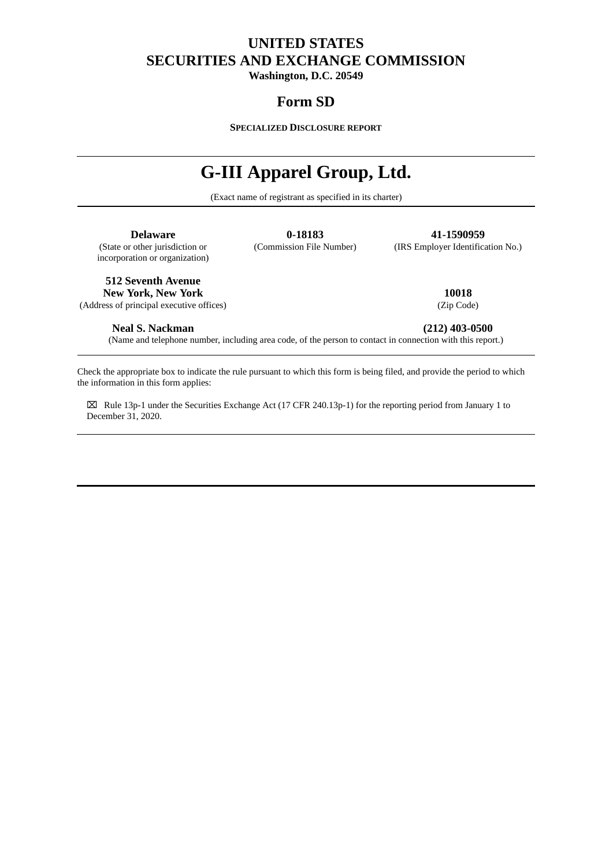# **UNITED STATES SECURITIES AND EXCHANGE COMMISSION**

**Washington, D.C. 20549**

# **Form SD**

**SPECIALIZED DISCLOSURE REPORT**

# **G-III Apparel Group, Ltd.**

(Exact name of registrant as specified in its charter)

**Delaware 0-18183 41-1590959**<br>(State or other jurisdiction or **18183 41-1590959 41-1590959** incorporation or organization)

(IRS Employer Identification No.)

**512 Seventh Avenue**

**New York, New York 10018** (Address of principal executive offices) (Zip Code)

**Neal S. Nackman (212) 403-0500**

(Name and telephone number, including area code, of the person to contact in connection with this report.)

Check the appropriate box to indicate the rule pursuant to which this form is being filed, and provide the period to which the information in this form applies:

⌧ Rule 13p-1 under the Securities Exchange Act (17 CFR 240.13p-1) for the reporting period from January 1 to December 31, 2020.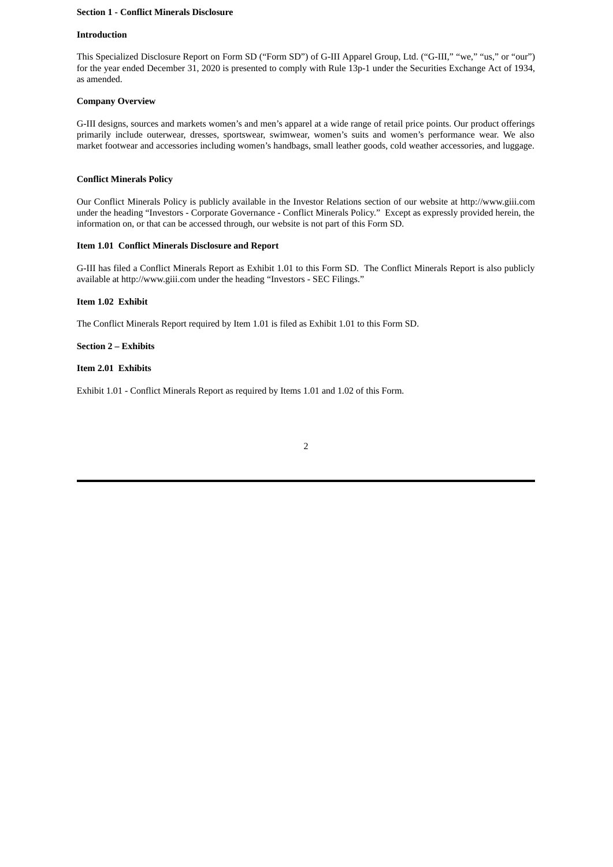# **Section 1 - Conflict Minerals Disclosure**

## **Introduction**

This Specialized Disclosure Report on Form SD ("Form SD") of G-III Apparel Group, Ltd. ("G-III," "we," "us," or "our") for the year ended December 31, 2020 is presented to comply with Rule 13p-1 under the Securities Exchange Act of 1934, as amended.

# **Company Overview**

G-III designs, sources and markets women's and men's apparel at a wide range of retail price points. Our product offerings primarily include outerwear, dresses, sportswear, swimwear, women's suits and women's performance wear. We also market footwear and accessories including women's handbags, small leather goods, cold weather accessories, and luggage.

# **Conflict Minerals Policy**

Our Conflict Minerals Policy is publicly available in the Investor Relations section of our website at http://www.giii.com under the heading "Investors - Corporate Governance - Conflict Minerals Policy." Except as expressly provided herein, the information on, or that can be accessed through, our website is not part of this Form SD.

# **Item 1.01 Conflict Minerals Disclosure and Report**

G-III has filed a Conflict Minerals Report as Exhibit 1.01 to this Form SD. The Conflict Minerals Report is also publicly available at http://www.giii.com under the heading "Investors - SEC Filings."

# **Item 1.02 Exhibit**

The Conflict Minerals Report required by Item 1.01 is filed as Exhibit 1.01 to this Form SD.

# **Section 2 – Exhibits**

# **Item 2.01 Exhibits**

Exhibit 1.01 - Conflict Minerals Report as required by Items 1.01 and 1.02 of this Form.

| ۱ | I<br>I |  |
|---|--------|--|
|   |        |  |
|   |        |  |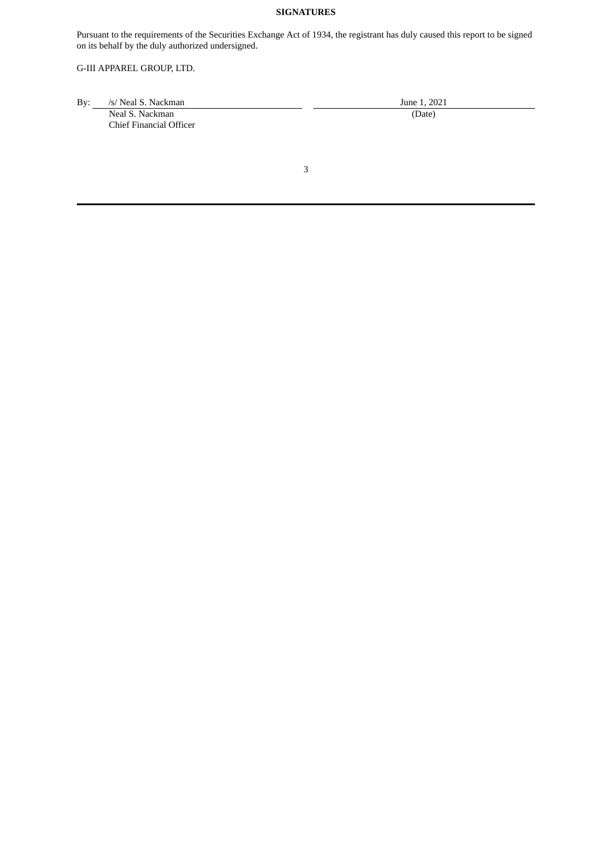# **SIGNATURES**

Pursuant to the requirements of the Securities Exchange Act of 1934, the registrant has duly caused this report to be signed on its behalf by the duly authorized undersigned.

# G-III APPAREL GROUP, LTD.

| Bv: | /s/ Neal S. Nackman     | June 1, 2021 |  |  |
|-----|-------------------------|--------------|--|--|
|     | Neal S. Nackman         | (Date)       |  |  |
|     | Chief Financial Officer |              |  |  |

3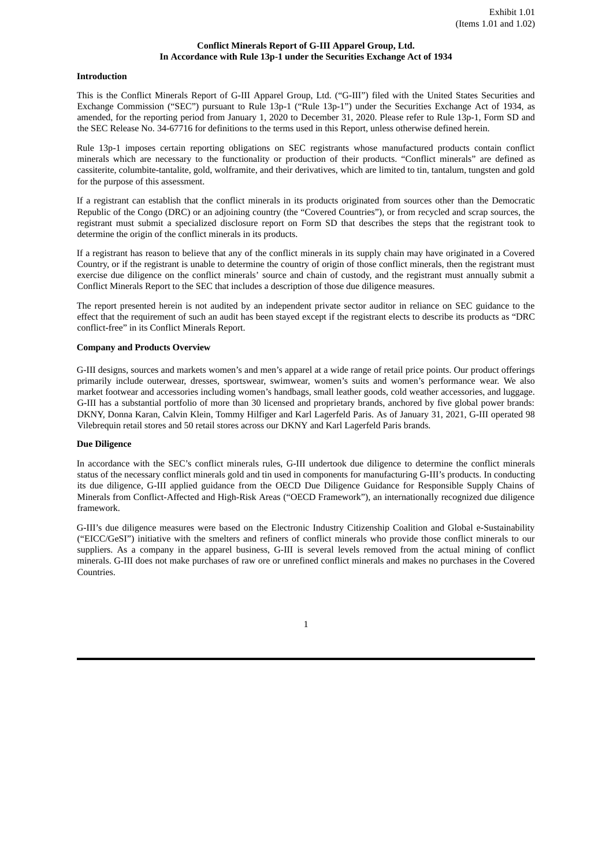# **Conflict Minerals Report of G-III Apparel Group, Ltd. In Accordance with Rule 13p-1 under the Securities Exchange Act of 1934**

#### **Introduction**

This is the Conflict Minerals Report of G-III Apparel Group, Ltd. ("G-III") filed with the United States Securities and Exchange Commission ("SEC") pursuant to Rule 13p-1 ("Rule 13p-1") under the Securities Exchange Act of 1934, as amended, for the reporting period from January 1, 2020 to December 31, 2020. Please refer to Rule 13p-1, Form SD and the SEC Release No. 34-67716 for definitions to the terms used in this Report, unless otherwise defined herein.

Rule 13p-1 imposes certain reporting obligations on SEC registrants whose manufactured products contain conflict minerals which are necessary to the functionality or production of their products. "Conflict minerals" are defined as cassiterite, columbite-tantalite, gold, wolframite, and their derivatives, which are limited to tin, tantalum, tungsten and gold for the purpose of this assessment.

If a registrant can establish that the conflict minerals in its products originated from sources other than the Democratic Republic of the Congo (DRC) or an adjoining country (the "Covered Countries"), or from recycled and scrap sources, the registrant must submit a specialized disclosure report on Form SD that describes the steps that the registrant took to determine the origin of the conflict minerals in its products.

If a registrant has reason to believe that any of the conflict minerals in its supply chain may have originated in a Covered Country, or if the registrant is unable to determine the country of origin of those conflict minerals, then the registrant must exercise due diligence on the conflict minerals' source and chain of custody, and the registrant must annually submit a Conflict Minerals Report to the SEC that includes a description of those due diligence measures.

The report presented herein is not audited by an independent private sector auditor in reliance on SEC guidance to the effect that the requirement of such an audit has been stayed except if the registrant elects to describe its products as "DRC conflict-free" in its Conflict Minerals Report.

# **Company and Products Overview**

G-III designs, sources and markets women's and men's apparel at a wide range of retail price points. Our product offerings primarily include outerwear, dresses, sportswear, swimwear, women's suits and women's performance wear. We also market footwear and accessories including women's handbags, small leather goods, cold weather accessories, and luggage. G-III has a substantial portfolio of more than 30 licensed and proprietary brands, anchored by five global power brands: DKNY, Donna Karan, Calvin Klein, Tommy Hilfiger and Karl Lagerfeld Paris. As of January 31, 2021, G-III operated 98 Vilebrequin retail stores and 50 retail stores across our DKNY and Karl Lagerfeld Paris brands.

#### **Due Diligence**

In accordance with the SEC's conflict minerals rules, G-III undertook due diligence to determine the conflict minerals status of the necessary conflict minerals gold and tin used in components for manufacturing G-III's products. In conducting its due diligence, G-III applied guidance from the OECD Due Diligence Guidance for Responsible Supply Chains of Minerals from Conflict-Affected and High-Risk Areas ("OECD Framework"), an internationally recognized due diligence framework.

G-III's due diligence measures were based on the Electronic Industry Citizenship Coalition and Global e-Sustainability ("EICC/GeSI") initiative with the smelters and refiners of conflict minerals who provide those conflict minerals to our suppliers. As a company in the apparel business, G-III is several levels removed from the actual mining of conflict minerals. G-III does not make purchases of raw ore or unrefined conflict minerals and makes no purchases in the Covered Countries.

1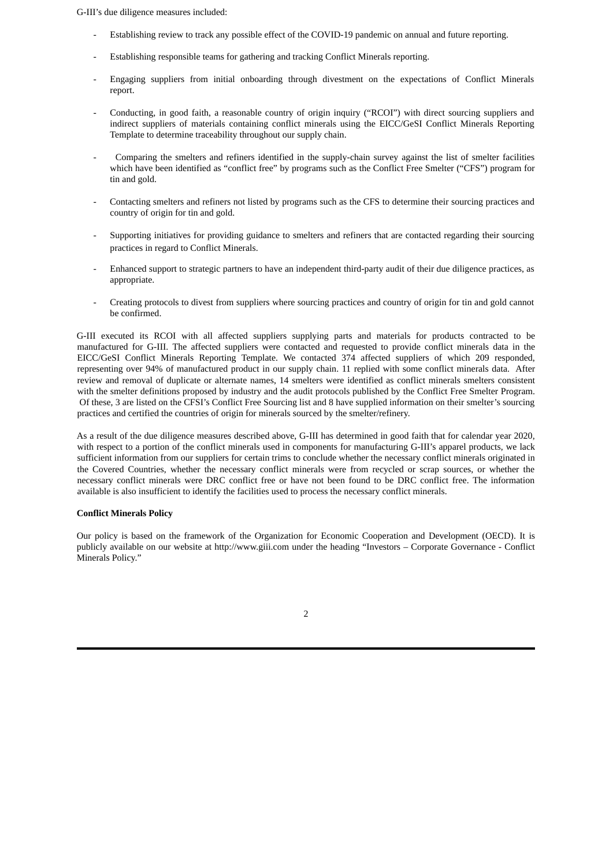G-III's due diligence measures included:

- Establishing review to track any possible effect of the COVID-19 pandemic on annual and future reporting.
- Establishing responsible teams for gathering and tracking Conflict Minerals reporting.
- Engaging suppliers from initial onboarding through divestment on the expectations of Conflict Minerals report.
- Conducting, in good faith, a reasonable country of origin inquiry ("RCOI") with direct sourcing suppliers and indirect suppliers of materials containing conflict minerals using the EICC/GeSI Conflict Minerals Reporting Template to determine traceability throughout our supply chain.
- Comparing the smelters and refiners identified in the supply-chain survey against the list of smelter facilities which have been identified as "conflict free" by programs such as the Conflict Free Smelter ("CFS") program for tin and gold.
- Contacting smelters and refiners not listed by programs such as the CFS to determine their sourcing practices and country of origin for tin and gold.
- Supporting initiatives for providing guidance to smelters and refiners that are contacted regarding their sourcing practices in regard to Conflict Minerals.
- Enhanced support to strategic partners to have an independent third-party audit of their due diligence practices, as appropriate.
- Creating protocols to divest from suppliers where sourcing practices and country of origin for tin and gold cannot be confirmed.

G-III executed its RCOI with all affected suppliers supplying parts and materials for products contracted to be manufactured for G-III. The affected suppliers were contacted and requested to provide conflict minerals data in the EICC/GeSI Conflict Minerals Reporting Template. We contacted 374 affected suppliers of which 209 responded, representing over 94% of manufactured product in our supply chain. 11 replied with some conflict minerals data. After review and removal of duplicate or alternate names, 14 smelters were identified as conflict minerals smelters consistent with the smelter definitions proposed by industry and the audit protocols published by the Conflict Free Smelter Program. Of these, 3 are listed on the CFSI's Conflict Free Sourcing list and 8 have supplied information on their smelter's sourcing practices and certified the countries of origin for minerals sourced by the smelter/refinery.

As a result of the due diligence measures described above, G-III has determined in good faith that for calendar year 2020, with respect to a portion of the conflict minerals used in components for manufacturing G-III's apparel products, we lack sufficient information from our suppliers for certain trims to conclude whether the necessary conflict minerals originated in the Covered Countries, whether the necessary conflict minerals were from recycled or scrap sources, or whether the necessary conflict minerals were DRC conflict free or have not been found to be DRC conflict free. The information available is also insufficient to identify the facilities used to process the necessary conflict minerals.

### **Conflict Minerals Policy**

Our policy is based on the framework of the Organization for Economic Cooperation and Development (OECD). It is publicly available on our website at http://www.giii.com under the heading "Investors – Corporate Governance - Conflict Minerals Policy."